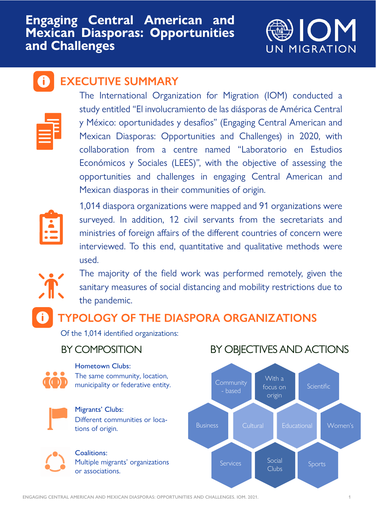### **Engaging Central American and Mexican Diasporas: Opportunities and Challenges**



### **EXECUTIVE SUMMARY**



1,014 diaspora organizations were mapped and 91 organizations were surveyed. In addition, 12 civil servants from the secretariats and ministries of foreign affairs of the different countries of concern were interviewed. To this end, quantitative and qualitative methods were used.



The majority of the field work was performed remotely, given the

sanitary measures of social distancing and mobility restrictions due to the pandemic.

The International Organization for Migration (IOM) conducted a study entitled "El involucramiento de las diásporas de América Central y México: oportunidades y desafíos" (Engaging Central American and Mexican Diasporas: Opportunities and Challenges) in 2020, with collaboration from a centre named "Laboratorio en Estudios Económicos y Sociales (LEES)", with the objective of assessing the opportunities and challenges in engaging Central American and Mexican diasporas in their communities of origin.





Migrants' Clubs: Different communities or locations of origin.



Coalitions: Multiple migrants' organizations or associations.

### BY COMPOSITION BY OBJECTIVES AND ACTIONS

Hometown Clubs: The same community, location, municipality or federative entity.



## **TYPOLOGY OF THE DIASPORA ORGANIZATIONS**

Of the 1,014 identified organizations:

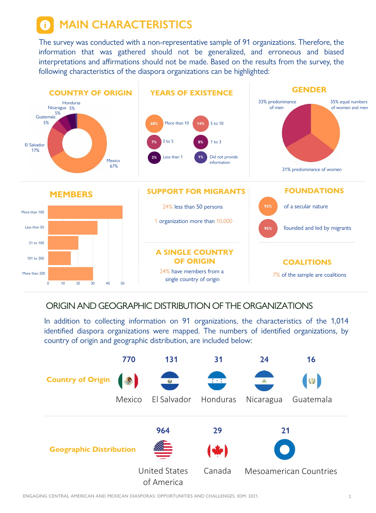**MAIN CHARACTERISTICS**

The survey was conducted with a non-representative sample of 91 organizations. Therefore, the information that was gathered should not be generalized, and erroneous and biased interpretations and affirmations should not be made. Based on the results from the survey, the following characteristics of the diaspora organizations can be highlighted:

**COALITIONS**

7% of the sample are coalitions

#### **A SINGLE COUNTRY OF ORIGIN**



24% have members from a single country of origin

### ORIGIN AND GEOGRAPHIC DISTRIBUTION OF THE ORGANIZATIONS

In addition to collecting information on 91 organizations, the characteristics of the 1,014 identified diaspora organizations were mapped. The numbers of identified organizations, by country of origin and geographic distribution, are included below:



51 to 100

101 to 200

More than 200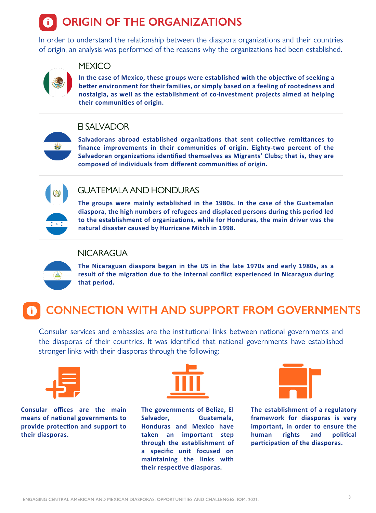# **ORIGIN OF THE ORGANIZATIONS**

In order to understand the relationship between the diaspora organizations and their countries of origin, an analysis was performed of the reasons why the organizations had been established.



### **MEXICO**

**In the case of Mexico, these groups were established with the objective of seeking a better environment for their families, or simply based on a feeling of rootedness and nostalgia, as well as the establishment of co-investment projects aimed at helping their communities of origin.**

**Salvadorans abroad established organizations that sent collective remittances to finance improvements in their communities of origin. Eighty-two percent of the Salvadoran organizations identified themselves as Migrants' Clubs; that is, they are composed of individuals from different communities of origin.**



4

### El SALVADOR

**The groups were mainly established in the 1980s. In the case of the Guatemalan diaspora, the high numbers of refugees and displaced persons during this period led to the establishment of organizations, while for Honduras, the main driver was the natural disaster caused by Hurricane Mitch in 1998.**



### GUATEMALA AND HONDURAS



**The Nicaraguan diaspora began in the US in the late 1970s and early 1980s, as a result of the migration due to the internal conflict experienced in Nicaragua during** 



### NICARAGUA

## **CONNECTION WITH AND SUPPORT FROM GOVERNMENTS**

Consular services and embassies are the institutional links between national governments and the diasporas of their countries. It was identified that national governments have established stronger links with their diasporas through the following:



**The establishment of a regulatory framework for diasporas is very important, in order to ensure the human rights and political participation of the diasporas.**

**Consular offices are the main means of national governments to provide protection and support to their diasporas.**



**The governments of Belize, El Salvador, Guatemala, Honduras and Mexico have taken an important step through the establishment of a specific unit focused on maintaining the links with their respective diasporas.**

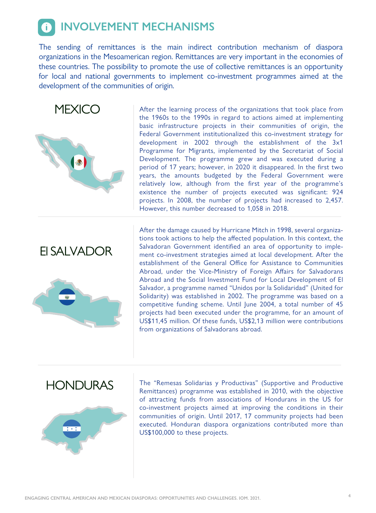## *INVOLVEMENT MECHANISMS*

The sending of remittances is the main indirect contribution mechanism of diaspora organizations in the Mesoamerican region. Remittances are very important in the economies of these countries. The possibility to promote the use of collective remittances is an opportunity for local and national governments to implement co-investment programmes aimed at the development of the communities of origin.

### **MEXICO**



After the learning process of the organizations that took place from the 1960s to the 1990s in regard to actions aimed at implementing basic infrastructure projects in their communities of origin, the Federal Government institutionalized this co-investment strategy for development in 2002 through the establishment of the 3x1 Programme for Migrants, implemented by the Secretariat of Social Development. The programme grew and was executed during a period of 17 years; however, in 2020 it disappeared. In the first two years, the amounts budgeted by the Federal Government were relatively low, although from the first year of the programme's existence the number of projects executed was significant: 924 projects. In 2008, the number of projects had increased to 2,457. However, this number decreased to 1,058 in 2018.

#### $\overline{a}$ HONDURAS







Salvador, a programme named "Unidos por la Solidaridad" (United for Solidarity) was established in 2002. The programme was based on a competitive funding scheme. Until June 2004, a total number of 45 projects had been executed under the programme, for an amount of US\$11,45 million. Of these funds, US\$2,13 million were contributions from organizations of Salvadorans abroad.

The "Remesas Solidarias y Productivas" (Supportive and Productive Remittances) programme was established in 2010, with the objective of attracting funds from associations of Hondurans in the US for co-investment projects aimed at improving the conditions in their communities of origin. Until 2017, 17 community projects had been executed. Honduran diaspora organizations contributed more than US\$100,000 to these projects.

### El SALVADOR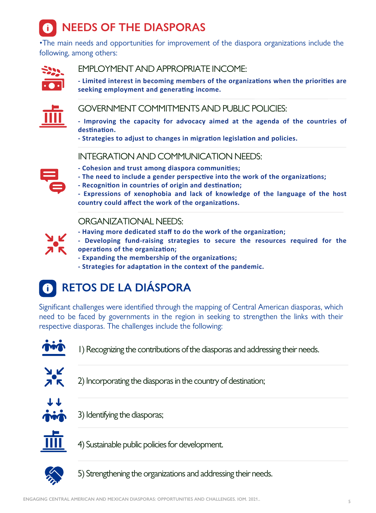

•The main needs and opportunities for improvement of the diaspora organizations include the following, among others:



**- Improving the capacity for advocacy aimed at the agenda of the countries of destination.**

Significant challenges were identified through the mapping of Central American diasporas, which need to be faced by governments in the region in seeking to strengthen the links with their respective diasporas. The challenges include the following:



**- Strategies to adjust to changes in migration legislation and policies.** 

- **Cohesion and trust among diaspora communities;**
- **The need to include a gender perspective into the work of the organizations;**
- **Recognition in countries of origin and destination;**
- **Expressions of xenophobia and lack of knowledge of the language of the host country could affect the work of the organizations.**



**- Limited interest in becoming members of the organizations when the priorities are seeking employment and generating income.**



1) Recognizing the contributions of the diasporas and addressing their needs.



3) Identifying the diasporas;



5) Strengthening the organizations and addressing their needs.

4) Sustainable public policies for development.



2) Incorporating the diasporas in the country of destination;



### EMPLOYMENT AND APPROPRIATE INCOME:

### GOVERNMENT COMMITMENTS AND PUBLIC POLICIES:

### INTEGRATION AND COMMUNICATION NEEDS:



- **Having more dedicated staff to do the work of the organization;**
- **Developing fund-raising strategies to secure the resources required for the operations of the organization;**
- **Expanding the membership of the organizations;**
- **Strategies for adaptation in the context of the pandemic.**



### ORGANIZATIONAL NEEDS: